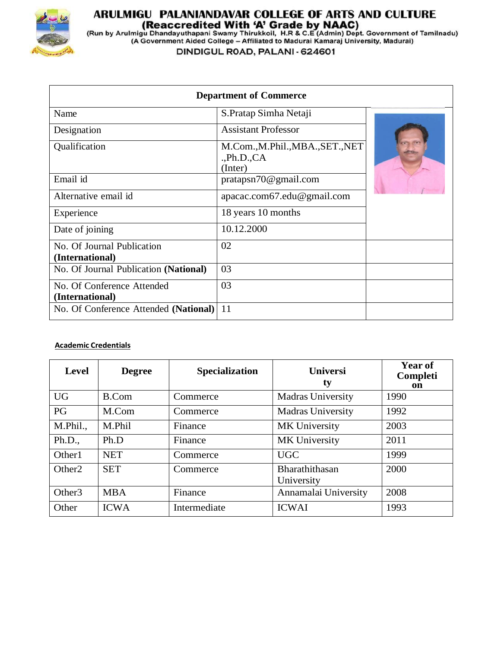

## **ARULMIGU PALANIANDAVAR COLLEGE OF ARTS AND CULTURE<br>(Reaccredited With 'A' Grade by NAAC)<br>(Run by Arulmigu Dhandayuthapani Swamy Thirukkoil, H.R & C.E (Admin) Dept. Government of Tamilnadu)<br>(A Government Aided College – Af**

DINDIGUL ROAD, PALANI - 624601

| <b>Department of Commerce</b>                 |                                                          |  |  |  |
|-----------------------------------------------|----------------------------------------------------------|--|--|--|
| Name                                          | S. Pratap Simha Netaji                                   |  |  |  |
| Designation                                   | <b>Assistant Professor</b>                               |  |  |  |
| Qualification                                 | M.Com., M.Phil., MBA., SET., NET<br>Ph.D., CA<br>(Inter) |  |  |  |
| Email id                                      | pratapsn70@gmail.com                                     |  |  |  |
| Alternative email id                          | apacac.com67.edu@gmail.com                               |  |  |  |
| Experience                                    | 18 years 10 months                                       |  |  |  |
| Date of joining                               | 10.12.2000                                               |  |  |  |
| No. Of Journal Publication<br>(International) | 02                                                       |  |  |  |
| No. Of Journal Publication (National)         | 03                                                       |  |  |  |
| No. Of Conference Attended<br>(International) | 03                                                       |  |  |  |
| No. Of Conference Attended (National)         | 11                                                       |  |  |  |

## **Academic Credentials**

| <b>Level</b>       | <b>Degree</b> | <b>Specialization</b> | <b>Universi</b><br>ty        | <b>Year of</b><br>Completi<br>on |
|--------------------|---------------|-----------------------|------------------------------|----------------------------------|
| <b>UG</b>          | <b>B.Com</b>  | Commerce              | <b>Madras University</b>     | 1990                             |
| PG                 | M.Com         | Commerce              | <b>Madras University</b>     | 1992                             |
| M.Phil.,           | M.Phil        | Finance               | MK University                | 2003                             |
| Ph.D.,             | Ph.D          | Finance               | MK University                | 2011                             |
| Other <sub>1</sub> | <b>NET</b>    | Commerce              | <b>UGC</b>                   | 1999                             |
| Other <sub>2</sub> | <b>SET</b>    | Commerce              | Bharathithasan<br>University | 2000                             |
| Other <sub>3</sub> | <b>MBA</b>    | Finance               | Annamalai University         | 2008                             |
| Other              | <b>ICWA</b>   | Intermediate          | <b>ICWAI</b>                 | 1993                             |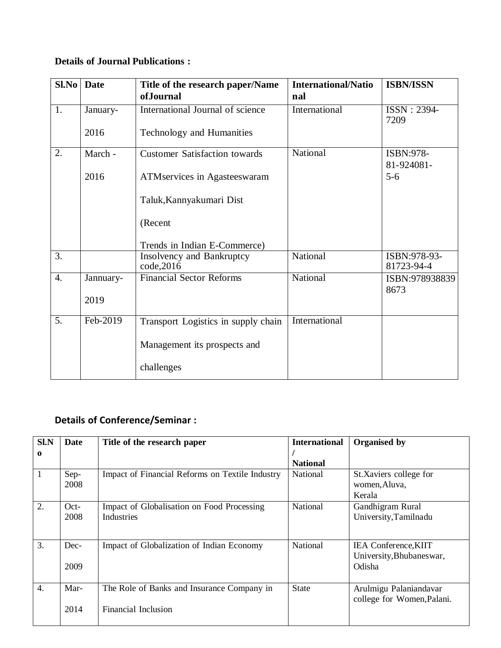## **Details of Journal Publications :**

|                  | <b>Sl.No</b> Date | Title of the research paper/Name        | <b>International/Natio</b> | <b>ISBN/ISSN</b>           |
|------------------|-------------------|-----------------------------------------|----------------------------|----------------------------|
|                  |                   | ofJournal                               | nal                        |                            |
| 1.               | January-          | International Journal of science        | International              | ISSN: 2394-<br>7209        |
|                  | 2016              | Technology and Humanities               |                            |                            |
| 2.               | March -           | <b>Customer Satisfaction towards</b>    | National                   | ISBN:978-<br>81-924081-    |
|                  | 2016              | ATM services in Agastees waram          |                            | $5 - 6$                    |
|                  |                   | Taluk, Kannyakumari Dist                |                            |                            |
|                  |                   | (Recent                                 |                            |                            |
|                  |                   | Trends in Indian E-Commerce)            |                            |                            |
| $\overline{3}$ . |                   | Insolvency and Bankruptcy<br>code, 2016 | National                   | ISBN:978-93-<br>81723-94-4 |
| $\overline{4}$ . | Jannuary-         | <b>Financial Sector Reforms</b>         | National                   | ISBN:978938839<br>8673     |
|                  | 2019              |                                         |                            |                            |
| 5.               | Feb-2019          | Transport Logistics in supply chain     | International              |                            |
|                  |                   | Management its prospects and            |                            |                            |
|                  |                   | challenges                              |                            |                            |

## **Details of Conference/Seminar :**

| Sl.N             | Date           | Title of the research paper                                       | <b>International</b> | Organised by                                                      |
|------------------|----------------|-------------------------------------------------------------------|----------------------|-------------------------------------------------------------------|
| $\mathbf 0$      |                |                                                                   | <b>National</b>      |                                                                   |
| 1                | Sep-<br>2008   | Impact of Financial Reforms on Textile Industry                   | <b>National</b>      | St.Xaviers college for<br>women, Aluva,<br>Kerala                 |
| 2.               | $Oct-$<br>2008 | Impact of Globalisation on Food Processing<br>Industries          | National             | Gandhigram Rural<br>University, Tamilnadu                         |
| 3.               | Dec-<br>2009   | Impact of Globalization of Indian Economy                         | National             | <b>IEA Conference, KIIT</b><br>University, Bhubaneswar,<br>Odisha |
| $\overline{4}$ . | Mar-<br>2014   | The Role of Banks and Insurance Company in<br>Financial Inclusion | <b>State</b>         | Arulmigu Palaniandavar<br>college for Women, Palani.              |